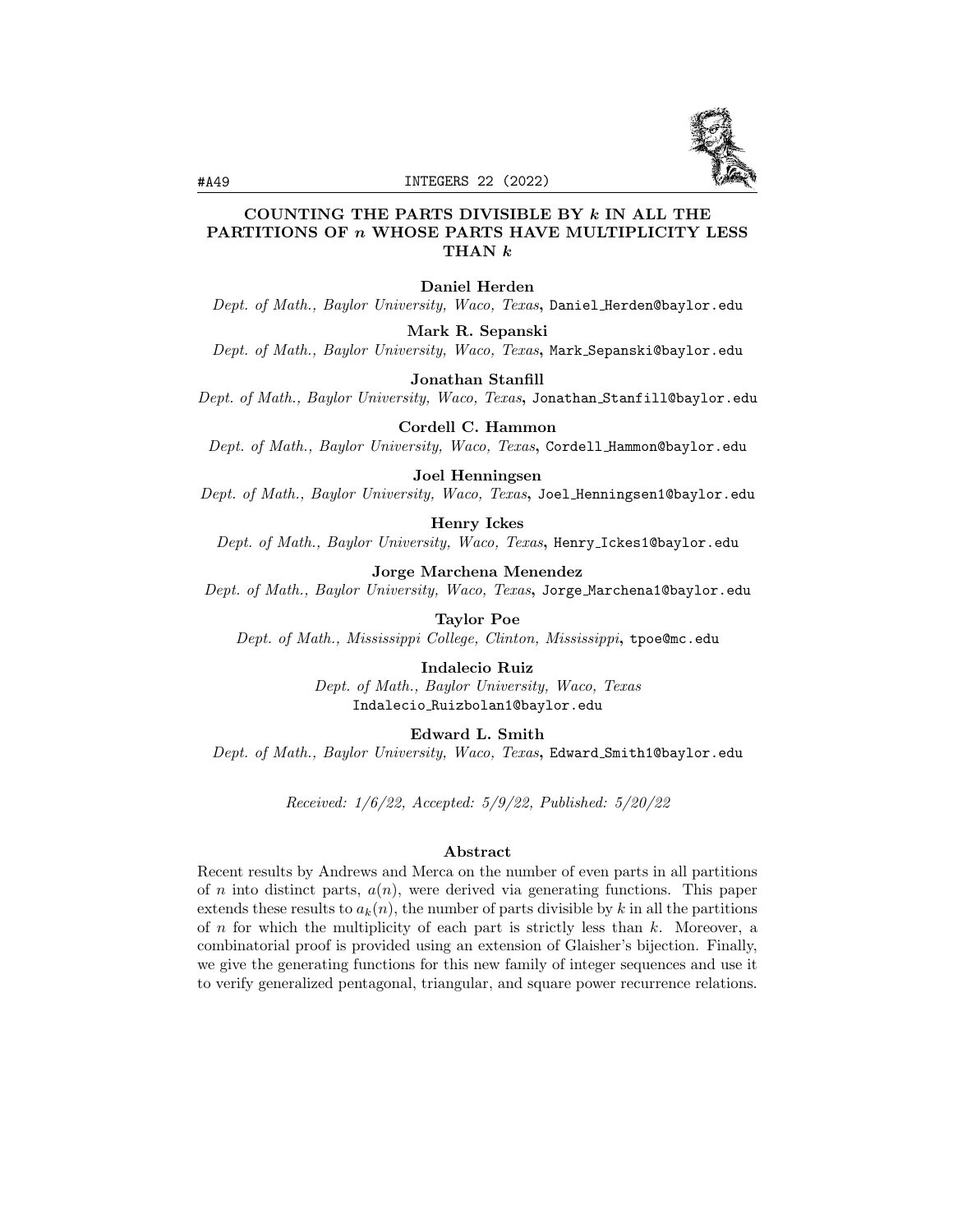

# COUNTING THE PARTS DIVISIBLE BY  $k$  IN ALL THE PARTITIONS OF *n* WHOSE PARTS HAVE MULTIPLICITY LESS THAN k

### Daniel Herden

Dept. of Math., Baylor University, Waco, Texas, Daniel Herden@baylor.edu

Mark R. Sepanski

Dept. of Math., Baylor University, Waco, Texas, Mark Sepanski@baylor.edu

Jonathan Stanfill

Dept. of Math., Baylor University, Waco, Texas, Jonathan Stanfill@baylor.edu

Cordell C. Hammon Dept. of Math., Baylor University, Waco, Texas, Cordell Hammon@baylor.edu

#### Joel Henningsen

Dept. of Math., Baylor University, Waco, Texas, Joel Henningsen1@baylor.edu

Henry Ickes

Dept. of Math., Baylor University, Waco, Texas, Henry\_Ickes1@baylor.edu

Jorge Marchena Menendez

Dept. of Math., Baylor University, Waco, Texas, Jorge Marchena1@baylor.edu

Taylor Poe

Dept. of Math., Mississippi College, Clinton, Mississippi, tpoe@mc.edu

Indalecio Ruiz Dept. of Math., Baylor University, Waco, Texas Indalecio Ruizbolan1@baylor.edu

Edward L. Smith

Dept. of Math., Baylor University, Waco, Texas, Edward\_Smith1@baylor.edu

Received: 1/6/22, Accepted: 5/9/22, Published: 5/20/22

#### Abstract

Recent results by Andrews and Merca on the number of even parts in all partitions of n into distinct parts,  $a(n)$ , were derived via generating functions. This paper extends these results to  $a_k(n)$ , the number of parts divisible by k in all the partitions of n for which the multiplicity of each part is strictly less than  $k$ . Moreover, a combinatorial proof is provided using an extension of Glaisher's bijection. Finally, we give the generating functions for this new family of integer sequences and use it to verify generalized pentagonal, triangular, and square power recurrence relations.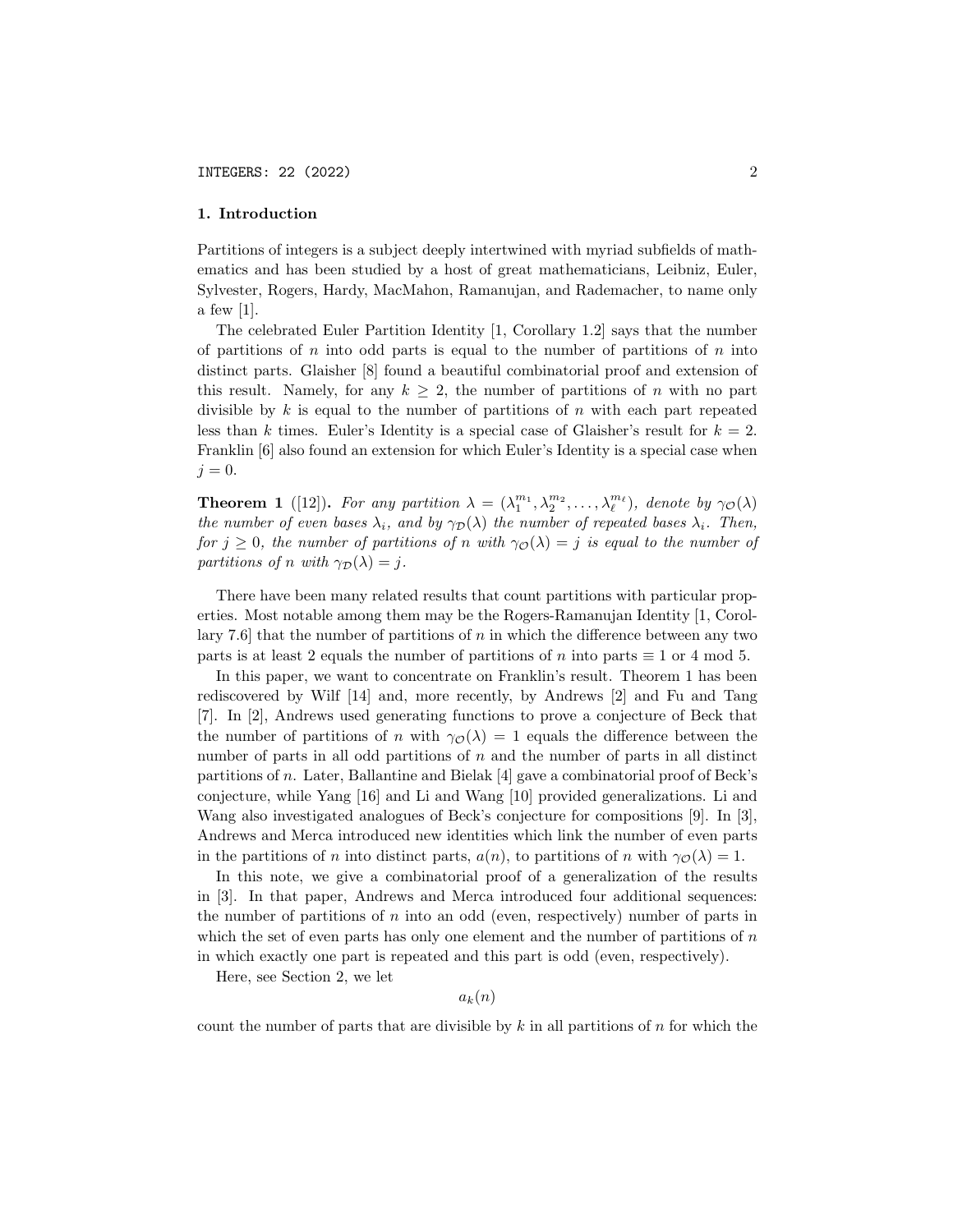### 1. Introduction

Partitions of integers is a subject deeply intertwined with myriad subfields of mathematics and has been studied by a host of great mathematicians, Leibniz, Euler, Sylvester, Rogers, Hardy, MacMahon, Ramanujan, and Rademacher, to name only a few [1].

The celebrated Euler Partition Identity [1, Corollary 1.2] says that the number of partitions of  $n$  into odd parts is equal to the number of partitions of  $n$  into distinct parts. Glaisher [8] found a beautiful combinatorial proof and extension of this result. Namely, for any  $k \geq 2$ , the number of partitions of n with no part divisible by  $k$  is equal to the number of partitions of  $n$  with each part repeated less than k times. Euler's Identity is a special case of Glaisher's result for  $k = 2$ . Franklin [6] also found an extension for which Euler's Identity is a special case when  $j = 0$ .

**Theorem 1** ([12]). For any partition  $\lambda = (\lambda_1^{m_1}, \lambda_2^{m_2}, \dots, \lambda_\ell^{m_\ell})$ , denote by  $\gamma_{\mathcal{O}}(\lambda)$ the number of even bases  $\lambda_i$ , and by  $\gamma_D(\lambda)$  the number of repeated bases  $\lambda_i$ . Then, for  $j \geq 0$ , the number of partitions of n with  $\gamma_{\cal{O}}(\lambda) = j$  is equal to the number of partitions of n with  $\gamma_{\mathcal{D}}(\lambda) = j$ .

There have been many related results that count partitions with particular properties. Most notable among them may be the Rogers-Ramanujan Identity [1, Corollary 7.6 that the number of partitions of n in which the difference between any two parts is at least 2 equals the number of partitions of n into parts  $\equiv 1$  or 4 mod 5.

In this paper, we want to concentrate on Franklin's result. Theorem 1 has been rediscovered by Wilf [14] and, more recently, by Andrews [2] and Fu and Tang [7]. In [2], Andrews used generating functions to prove a conjecture of Beck that the number of partitions of n with  $\gamma_{\mathcal{O}}(\lambda) = 1$  equals the difference between the number of parts in all odd partitions of n and the number of parts in all distinct partitions of n. Later, Ballantine and Bielak [4] gave a combinatorial proof of Beck's conjecture, while Yang [16] and Li and Wang [10] provided generalizations. Li and Wang also investigated analogues of Beck's conjecture for compositions [9]. In [3], Andrews and Merca introduced new identities which link the number of even parts in the partitions of n into distinct parts,  $a(n)$ , to partitions of n with  $\gamma_{\mathcal{O}}(\lambda) = 1$ .

In this note, we give a combinatorial proof of a generalization of the results in [3]. In that paper, Andrews and Merca introduced four additional sequences: the number of partitions of  $n$  into an odd (even, respectively) number of parts in which the set of even parts has only one element and the number of partitions of  $n$ in which exactly one part is repeated and this part is odd (even, respectively).

Here, see Section 2, we let

$$
a_k(n)
$$

count the number of parts that are divisible by  $k$  in all partitions of  $n$  for which the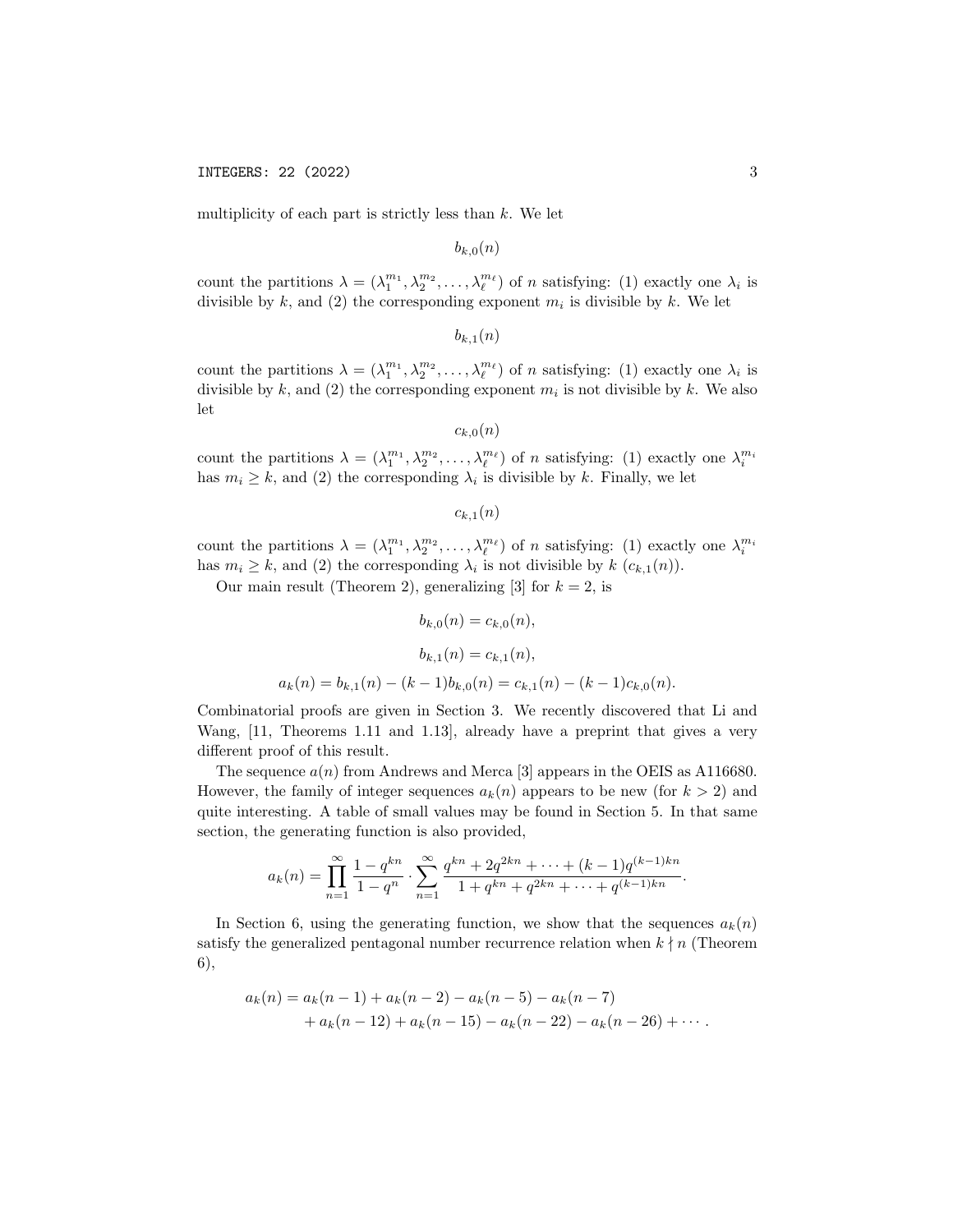multiplicity of each part is strictly less than  $k$ . We let

 $b_{k,0}(n)$ 

count the partitions  $\lambda = (\lambda_1^{m_1}, \lambda_2^{m_2}, \dots, \lambda_\ell^{m_\ell})$  of *n* satisfying: (1) exactly one  $\lambda_i$  is divisible by k, and (2) the corresponding exponent  $m_i$  is divisible by k. We let

 $b_{k,1}(n)$ 

count the partitions  $\lambda = (\lambda_1^{m_1}, \lambda_2^{m_2}, \dots, \lambda_\ell^{m_\ell})$  of *n* satisfying: (1) exactly one  $\lambda_i$  is divisible by k, and (2) the corresponding exponent  $m_i$  is not divisible by k. We also let

```
c_{k,0}(n)
```
count the partitions  $\lambda = (\lambda_1^{m_1}, \lambda_2^{m_2}, \dots, \lambda_\ell^{m_\ell})$  of *n* satisfying: (1) exactly one  $\lambda_i^{m_i}$ has  $m_i \geq k$ , and (2) the corresponding  $\lambda_i$  is divisible by k. Finally, we let

 $c_{k,1}(n)$ 

count the partitions  $\lambda = (\lambda_1^{m_1}, \lambda_2^{m_2}, \dots, \lambda_\ell^{m_\ell})$  of *n* satisfying: (1) exactly one  $\lambda_i^{m_i}$ has  $m_i \geq k$ , and (2) the corresponding  $\lambda_i$  is not divisible by  $k$   $(c_{k,1}(n))$ .

Our main result (Theorem 2), generalizing [3] for  $k = 2$ , is

$$
b_{k,0}(n) = c_{k,0}(n),
$$

$$
b_{k,1}(n) = c_{k,1}(n),
$$

$$
a_k(n) = b_{k,1}(n) - (k-1)b_{k,0}(n) = c_{k,1}(n) - (k-1)c_{k,0}(n).
$$

Combinatorial proofs are given in Section 3. We recently discovered that Li and Wang, [11, Theorems 1.11 and 1.13], already have a preprint that gives a very different proof of this result.

The sequence  $a(n)$  from Andrews and Merca [3] appears in the OEIS as A116680. However, the family of integer sequences  $a_k(n)$  appears to be new (for  $k > 2$ ) and quite interesting. A table of small values may be found in Section 5. In that same section, the generating function is also provided,

$$
a_k(n) = \prod_{n=1}^{\infty} \frac{1 - q^{kn}}{1 - q^n} \cdot \sum_{n=1}^{\infty} \frac{q^{kn} + 2q^{2kn} + \dots + (k-1)q^{(k-1)kn}}{1 + q^{kn} + q^{2kn} + \dots + q^{(k-1)kn}}.
$$

In Section 6, using the generating function, we show that the sequences  $a_k(n)$ satisfy the generalized pentagonal number recurrence relation when  $k \nmid n$  (Theorem 6),

$$
a_k(n) = a_k(n-1) + a_k(n-2) - a_k(n-5) - a_k(n-7)
$$
  
+ 
$$
a_k(n-12) + a_k(n-15) - a_k(n-22) - a_k(n-26) + \cdots
$$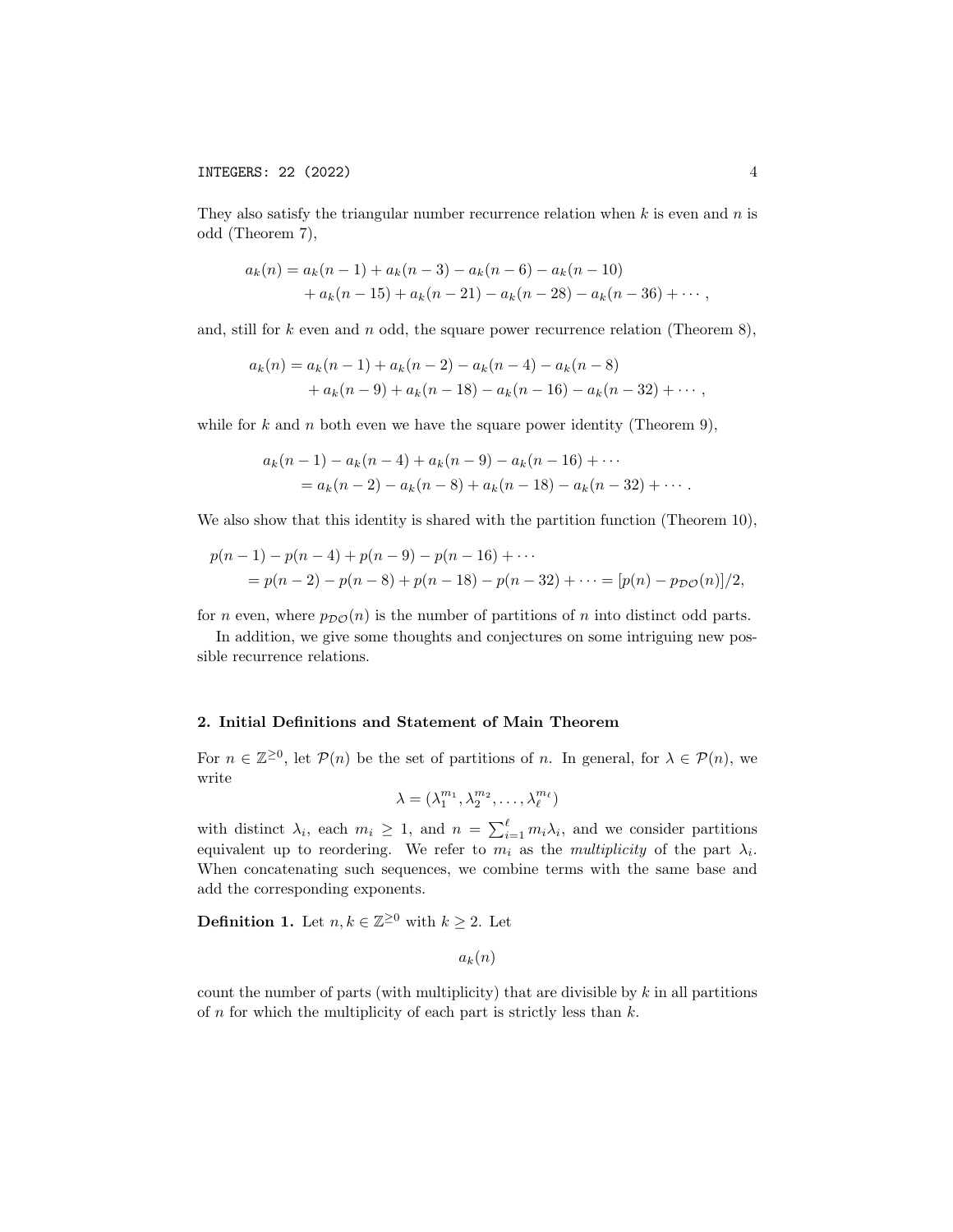They also satisfy the triangular number recurrence relation when  $k$  is even and  $n$  is odd (Theorem 7),

$$
a_k(n) = a_k(n-1) + a_k(n-3) - a_k(n-6) - a_k(n-10)
$$
  
+ 
$$
a_k(n-15) + a_k(n-21) - a_k(n-28) - a_k(n-36) + \cdots,
$$

and, still for  $k$  even and  $n$  odd, the square power recurrence relation (Theorem 8),

$$
a_k(n) = a_k(n-1) + a_k(n-2) - a_k(n-4) - a_k(n-8)
$$
  
+ 
$$
a_k(n-9) + a_k(n-18) - a_k(n-16) - a_k(n-32) + \cdots,
$$

while for k and n both even we have the square power identity (Theorem 9),

$$
a_k(n-1) - a_k(n-4) + a_k(n-9) - a_k(n-16) + \cdots
$$
  
=  $a_k(n-2) - a_k(n-8) + a_k(n-18) - a_k(n-32) + \cdots$ .

We also show that this identity is shared with the partition function (Theorem 10),

$$
p(n-1) - p(n-4) + p(n-9) - p(n-16) + \cdots
$$
  
=  $p(n-2) - p(n-8) + p(n-18) - p(n-32) + \cdots = [p(n) - p_{DC}(n)]/2,$ 

for *n* even, where  $p_{\mathcal{DO}}(n)$  is the number of partitions of *n* into distinct odd parts.

In addition, we give some thoughts and conjectures on some intriguing new possible recurrence relations.

#### 2. Initial Definitions and Statement of Main Theorem

For  $n \in \mathbb{Z}^{\geq 0}$ , let  $\mathcal{P}(n)$  be the set of partitions of n. In general, for  $\lambda \in \mathcal{P}(n)$ , we write

$$
\lambda = (\lambda_1^{m_1}, \lambda_2^{m_2}, \dots, \lambda_\ell^{m_\ell})
$$

with distinct  $\lambda_i$ , each  $m_i \geq 1$ , and  $n = \sum_{i=1}^{\ell} m_i \lambda_i$ , and we consider partitions equivalent up to reordering. We refer to  $m_i$  as the *multiplicity* of the part  $\lambda_i$ . When concatenating such sequences, we combine terms with the same base and add the corresponding exponents.

**Definition 1.** Let  $n, k \in \mathbb{Z}^{\geq 0}$  with  $k \geq 2$ . Let

 $a_k(n)$ 

count the number of parts (with multiplicity) that are divisible by  $k$  in all partitions of  $n$  for which the multiplicity of each part is strictly less than  $k$ .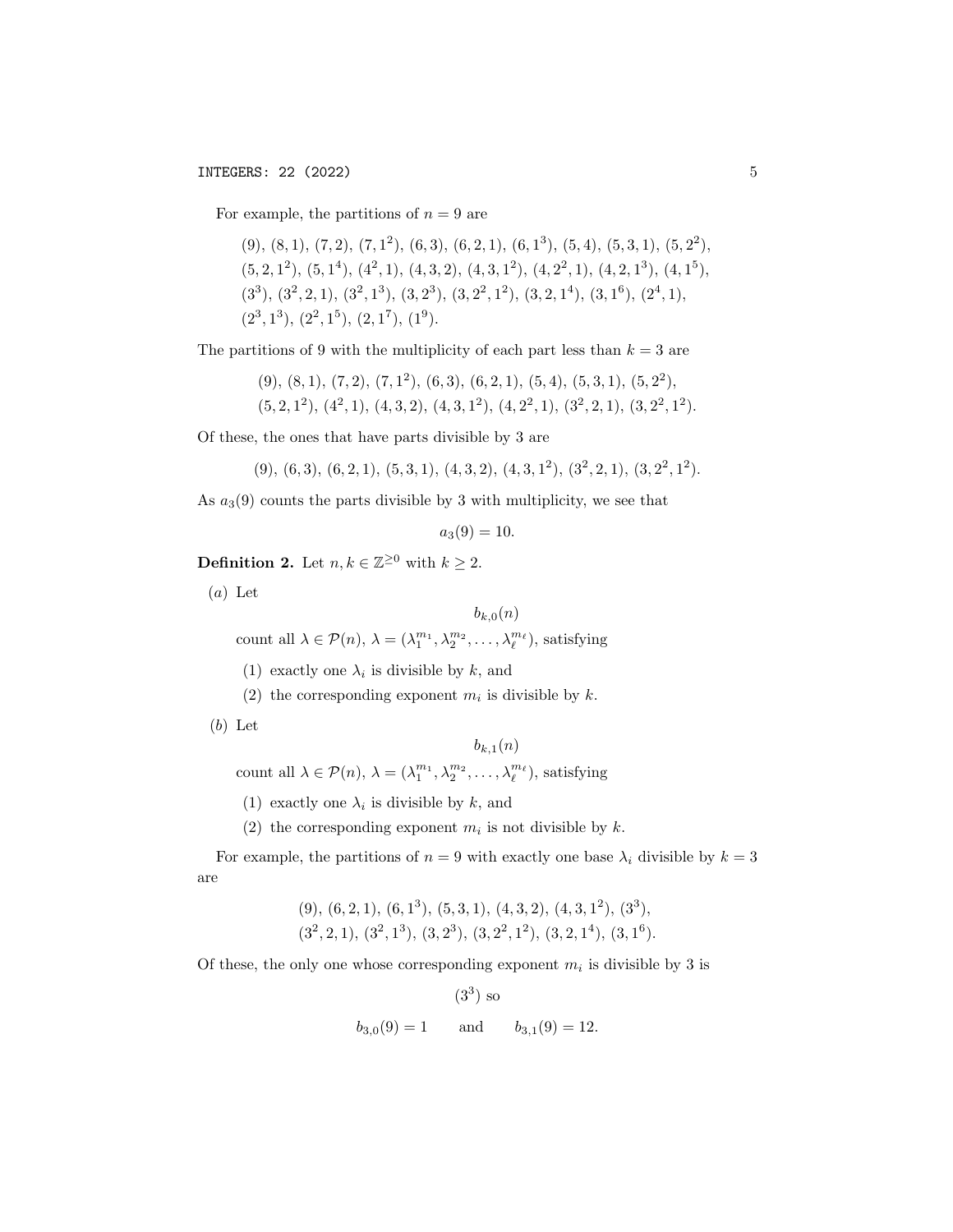For example, the partitions of  $n = 9$  are

 $(9)$ ,  $(8, 1)$ ,  $(7, 2)$ ,  $(7, 1^2)$ ,  $(6, 3)$ ,  $(6, 2, 1)$ ,  $(6, 1^3)$ ,  $(5, 4)$ ,  $(5, 3, 1)$ ,  $(5, 2^2)$ ,  $(5, 2, 1^2), (5, 1^4), (4^2, 1), (4, 3, 2), (4, 3, 1^2), (4, 2^2, 1), (4, 2, 1^3), (4, 1^5),$  $(3^3), (3^2, 2, 1), (3^2, 1^3), (3, 2^3), (3, 2^2, 1^2), (3, 2, 1^4), (3, 1^6), (2^4, 1),$  $(2^3, 1^3), (2^2, 1^5), (2, 1^7), (1^9).$ 

The partitions of 9 with the multiplicity of each part less than  $k = 3$  are

 $(9)$ ,  $(8, 1)$ ,  $(7, 2)$ ,  $(7, 1^2)$ ,  $(6, 3)$ ,  $(6, 2, 1)$ ,  $(5, 4)$ ,  $(5, 3, 1)$ ,  $(5, 2^2)$ ,  $(5, 2, 1^2), (4^2, 1), (4, 3, 2), (4, 3, 1^2), (4, 2^2, 1), (3^2, 2, 1), (3, 2^2, 1^2).$ 

Of these, the ones that have parts divisible by 3 are

 $(9)$ ,  $(6,3)$ ,  $(6,2,1)$ ,  $(5,3,1)$ ,  $(4,3,2)$ ,  $(4,3,1^2)$ ,  $(3^2,2,1)$ ,  $(3,2^2,1^2)$ .

As  $a_3(9)$  counts the parts divisible by 3 with multiplicity, we see that

 $a_3(9) = 10.$ 

**Definition 2.** Let  $n, k \in \mathbb{Z}^{\geq 0}$  with  $k \geq 2$ .

 $(a)$  Let

$$
b_{k,0}(n)
$$

count all  $\lambda \in \mathcal{P}(n)$ ,  $\lambda = (\lambda_1^{m_1}, \lambda_2^{m_2}, \dots, \lambda_\ell^{m_\ell})$ , satisfying

- (1) exactly one  $\lambda_i$  is divisible by k, and
- (2) the corresponding exponent  $m_i$  is divisible by k.

```
(b) Let
```
 $b_{k,1}(n)$ 

count all  $\lambda \in \mathcal{P}(n)$ ,  $\lambda = (\lambda_1^{m_1}, \lambda_2^{m_2}, \dots, \lambda_\ell^{m_\ell})$ , satisfying

(1) exactly one  $\lambda_i$  is divisible by k, and

(2) the corresponding exponent  $m_i$  is not divisible by k.

For example, the partitions of  $n = 9$  with exactly one base  $\lambda_i$  divisible by  $k = 3$ are

> $(9)$ ,  $(6, 2, 1)$ ,  $(6, 1^3)$ ,  $(5, 3, 1)$ ,  $(4, 3, 2)$ ,  $(4, 3, 1^2)$ ,  $(3^3)$ ,  $(3^2, 2, 1), (3^2, 1^3), (3, 2^3), (3, 2^2, 1^2), (3, 2, 1^4), (3, 1^6).$

Of these, the only one whose corresponding exponent  $m_i$  is divisible by 3 is

(3<sup>3</sup>) so  

$$
b_{3,0}(9) = 1
$$
 and  $b_{3,1}(9) = 12$ .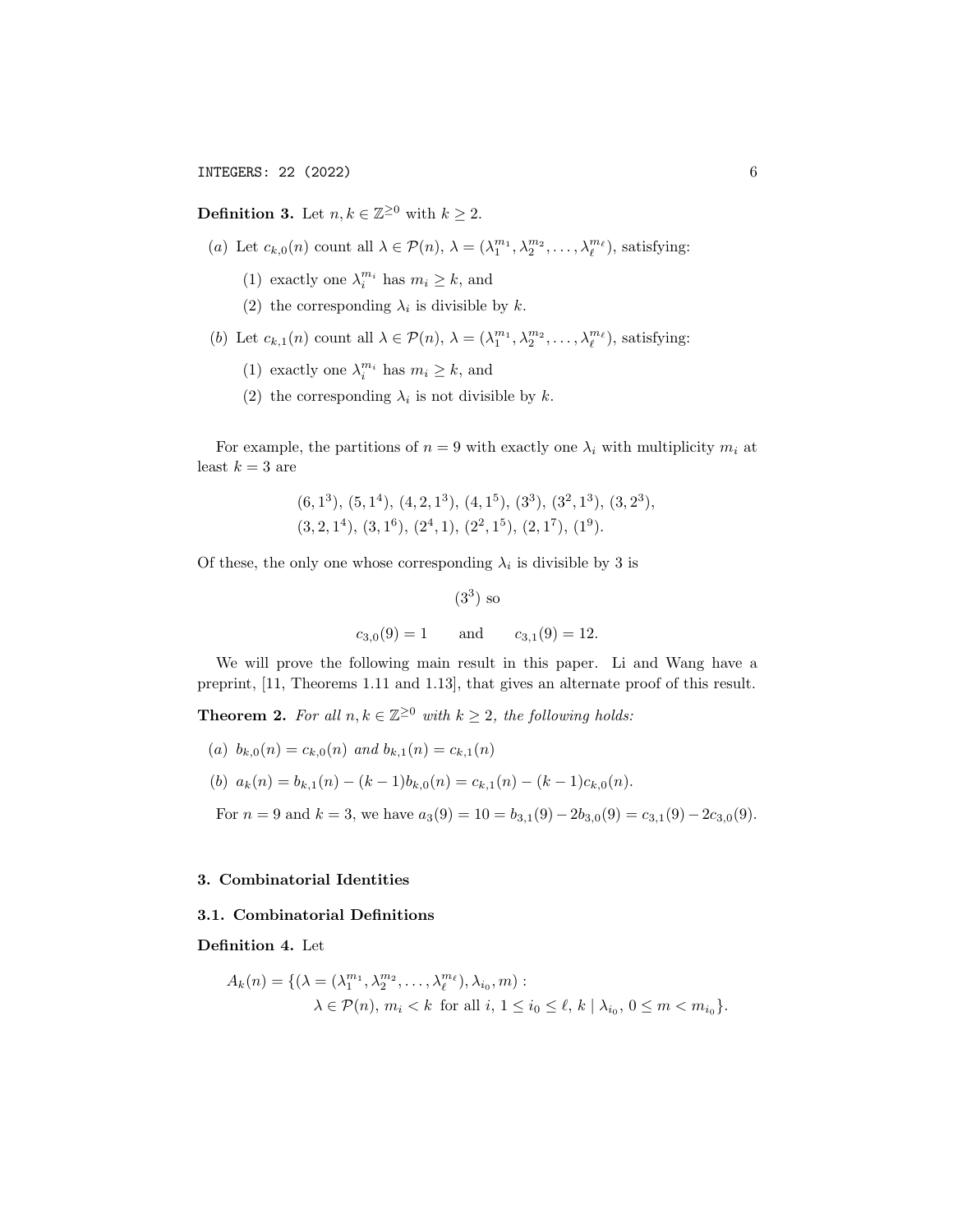**Definition 3.** Let  $n, k \in \mathbb{Z}^{\geq 0}$  with  $k \geq 2$ .

- (a) Let  $c_{k,0}(n)$  count all  $\lambda \in \mathcal{P}(n)$ ,  $\lambda = (\lambda_1^{m_1}, \lambda_2^{m_2}, \dots, \lambda_\ell^{m_\ell})$ , satisfying:
	- (1) exactly one  $\lambda_i^{m_i}$  has  $m_i \geq k$ , and
	- (2) the corresponding  $\lambda_i$  is divisible by k.
- (b) Let  $c_{k,1}(n)$  count all  $\lambda \in \mathcal{P}(n)$ ,  $\lambda = (\lambda_1^{m_1}, \lambda_2^{m_2}, \dots, \lambda_\ell^{m_\ell})$ , satisfying:
	- (1) exactly one  $\lambda_i^{m_i}$  has  $m_i \geq k$ , and
	- (2) the corresponding  $\lambda_i$  is not divisible by k.

For example, the partitions of  $n = 9$  with exactly one  $\lambda_i$  with multiplicity  $m_i$  at least  $k = 3$  are

$$
(6,1^3)
$$
,  $(5,1^4)$ ,  $(4,2,1^3)$ ,  $(4,1^5)$ ,  $(3^3)$ ,  $(3^2,1^3)$ ,  $(3,2^3)$ ,  $(3,2,1^4)$ ,  $(3,1^6)$ ,  $(2^4,1)$ ,  $(2^2,1^5)$ ,  $(2,1^7)$ ,  $(1^9)$ .

Of these, the only one whose corresponding  $\lambda_i$  is divisible by 3 is

(3<sup>3</sup>) so  

$$
c_{3,0}(9) = 1
$$
 and  $c_{3,1}(9) = 12$ .

We will prove the following main result in this paper. Li and Wang have a preprint, [11, Theorems 1.11 and 1.13], that gives an alternate proof of this result.

**Theorem 2.** For all  $n, k \in \mathbb{Z}^{\geq 0}$  with  $k \geq 2$ , the following holds:

(a) 
$$
b_{k,0}(n) = c_{k,0}(n)
$$
 and  $b_{k,1}(n) = c_{k,1}(n)$ 

(b) 
$$
a_k(n) = b_{k,1}(n) - (k-1)b_{k,0}(n) = c_{k,1}(n) - (k-1)c_{k,0}(n)
$$
.

For  $n = 9$  and  $k = 3$ , we have  $a_3(9) = 10 = b_{3,1}(9) - 2b_{3,0}(9) = c_{3,1}(9) - 2c_{3,0}(9)$ .

## 3. Combinatorial Identities

#### 3.1. Combinatorial Definitions

Definition 4. Let

$$
A_k(n) = \{ (\lambda = (\lambda_1^{m_1}, \lambda_2^{m_2}, \dots, \lambda_\ell^{m_\ell}), \lambda_{i_0}, m) : \\ \lambda \in \mathcal{P}(n), m_i < k \text{ for all } i, 1 \le i_0 \le \ell, k \mid \lambda_{i_0}, 0 \le m < m_{i_0} \}.
$$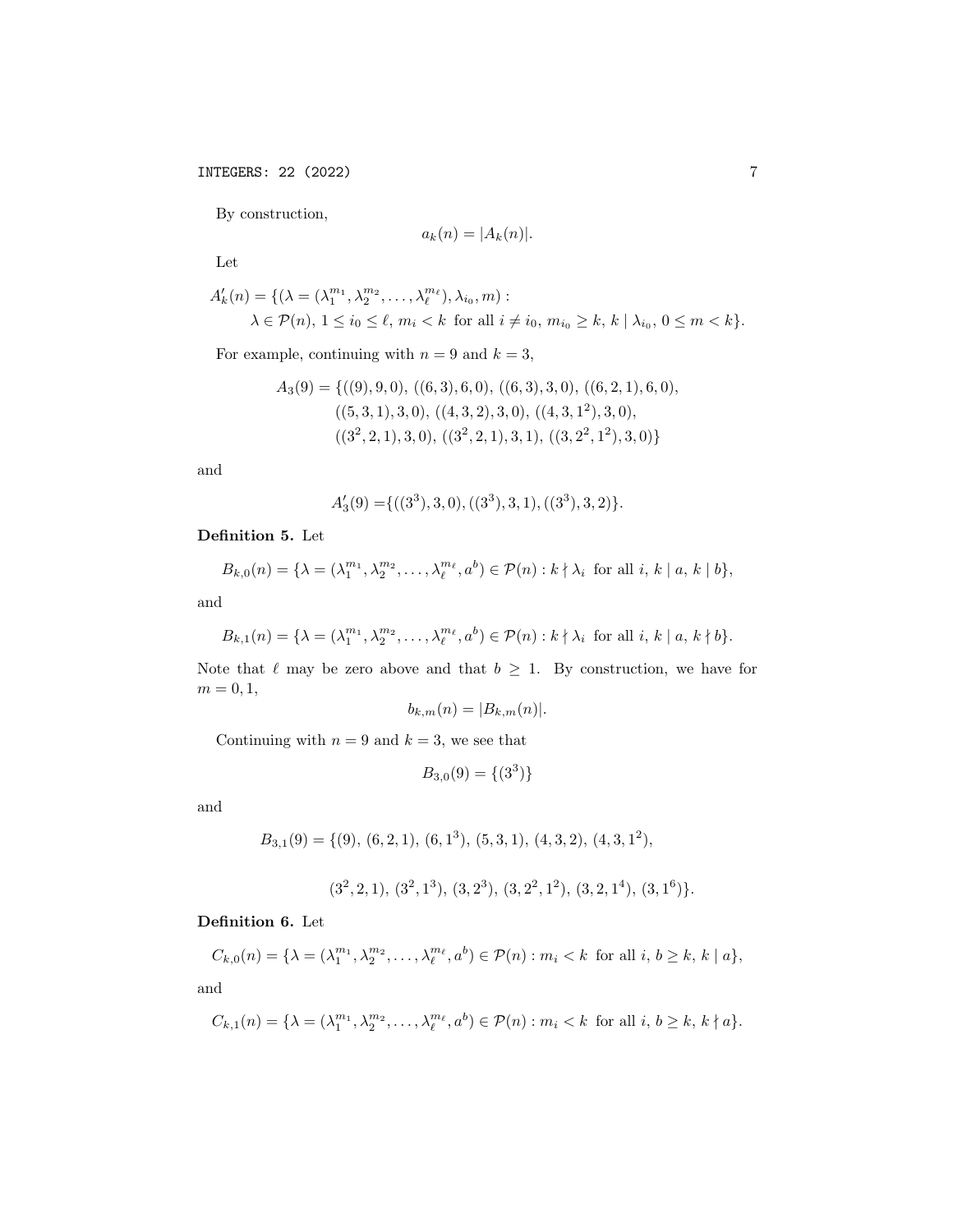By construction,

$$
a_k(n) = |A_k(n)|.
$$

Let

$$
A'_{k}(n) = \{ (\lambda = (\lambda_1^{m_1}, \lambda_2^{m_2}, \dots, \lambda_{\ell}^{m_{\ell}}), \lambda_{i_0}, m) : \\ \lambda \in \mathcal{P}(n), 1 \le i_0 \le \ell, m_i < k \text{ for all } i \ne i_0, m_{i_0} \ge k, k \mid \lambda_{i_0}, 0 \le m < k \}.
$$

For example, continuing with  $n = 9$  and  $k = 3$ ,

$$
A_3(9) = \{((9), 9, 0), ((6, 3), 6, 0), ((6, 3), 3, 0), ((6, 2, 1), 6, 0), ((5, 3, 1), 3, 0), ((4, 3, 2), 3, 0), ((4, 3, 1^2), 3, 0), ((3^2, 2, 1), 3, 0), ((3^2, 2, 1), 3, 1), ((3, 2^2, 1^2), 3, 0)\}
$$

and

$$
A'_3(9) = \{((3^3), 3, 0), ((3^3), 3, 1), ((3^3), 3, 2)\}.
$$

## Definition 5. Let

$$
B_{k,0}(n) = \{\lambda = (\lambda_1^{m_1}, \lambda_2^{m_2}, \dots, \lambda_\ell^{m_\ell}, a^b) \in \mathcal{P}(n) : k \nmid \lambda_i \text{ for all } i, k \mid a, k \mid b\},\
$$

and

$$
B_{k,1}(n) = \{\lambda = (\lambda_1^{m_1}, \lambda_2^{m_2}, \dots, \lambda_\ell^{m_\ell}, a^b) \in \mathcal{P}(n) : k \nmid \lambda_i \text{ for all } i, k \mid a, k \nmid b\}.
$$

Note that  $\ell$  may be zero above and that  $b \geq 1$ . By construction, we have for  $m=0,1,$ 

$$
b_{k,m}(n) = |B_{k,m}(n)|.
$$

Continuing with  $n = 9$  and  $k = 3$ , we see that

$$
B_{3,0}(9) = \{(3^3)\}\
$$

and

$$
B_{3,1}(9) = \{(9), (6,2,1), (6,1^3), (5,3,1), (4,3,2), (4,3,1^2),
$$

$$
(3^2, 2, 1), (3^2, 1^3), (3, 2^3), (3, 2^2, 1^2), (3, 2, 1^4), (3, 1^6).
$$

## Definition 6. Let

$$
C_{k,0}(n) = \{ \lambda = (\lambda_1^{m_1}, \lambda_2^{m_2}, \dots, \lambda_\ell^{m_\ell}, a^b) \in \mathcal{P}(n) : m_i < k \text{ for all } i, b \ge k, k \mid a \},
$$

and

$$
C_{k,1}(n) = \{\lambda = (\lambda_1^{m_1}, \lambda_2^{m_2}, \dots, \lambda_\ell^{m_\ell}, a^b) \in \mathcal{P}(n) : m_i < k \text{ for all } i, b \ge k, k \nmid a\}.
$$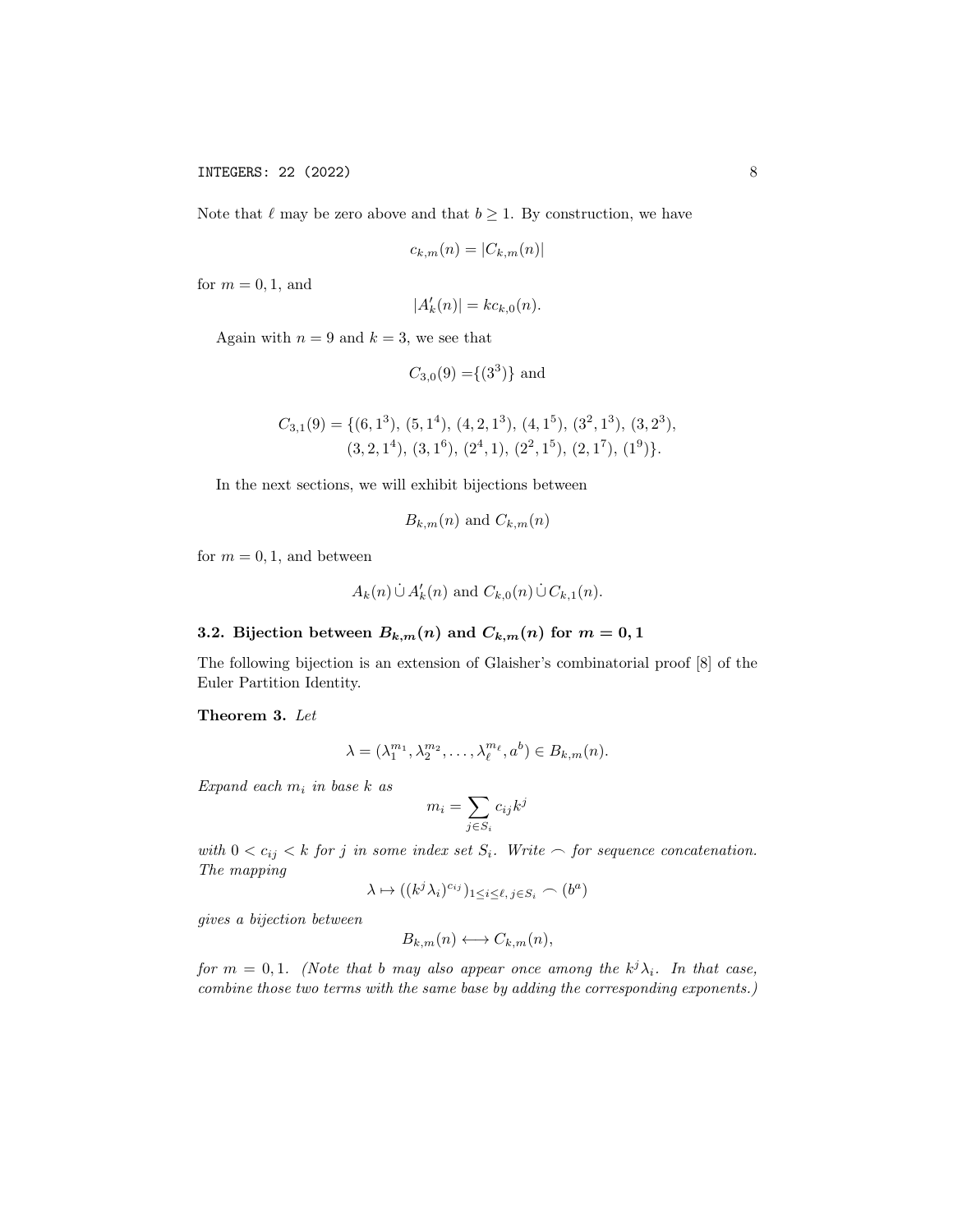Note that  $\ell$  may be zero above and that  $b \geq 1$ . By construction, we have

$$
c_{k,m}(n) = |C_{k,m}(n)|
$$

for  $m = 0, 1$ , and

$$
|A'_k(n)| = kc_{k,0}(n).
$$

Again with  $n = 9$  and  $k = 3$ , we see that

$$
C_{3,0}(9) = \{(3^3)\}\
$$
and

$$
C_{3,1}(9) = \{ (6,1^3), (5,1^4), (4,2,1^3), (4,1^5), (3^2,1^3), (3,2^3), (3,2,1^4), (3,1^6), (2^4,1), (2^2,1^5), (2,1^7), (1^9) \}.
$$

In the next sections, we will exhibit bijections between

$$
B_{k,m}(n)
$$
 and  $C_{k,m}(n)$ 

for  $m = 0, 1$ , and between

$$
A_k(n) \cup A'_k(n)
$$
 and  $C_{k,0}(n) \cup C_{k,1}(n)$ .

# 3.2. Bijection between  $B_{k,m}(n)$  and  $C_{k,m}(n)$  for  $m = 0, 1$

The following bijection is an extension of Glaisher's combinatorial proof [8] of the Euler Partition Identity.

Theorem 3. Let

$$
\lambda = (\lambda_1^{m_1}, \lambda_2^{m_2}, \dots, \lambda_\ell^{m_\ell}, a^b) \in B_{k,m}(n).
$$

Expand each  $m_i$  in base  $k$  as

$$
m_i = \sum_{j \in S_i} c_{ij} k^j
$$

with  $0 < c_{ij} < k$  for j in some index set  $S_i$ . Write  $\frown$  for sequence concatenation. The mapping

$$
\lambda \mapsto ((k^j \lambda_i)^{c_{ij}})_{1 \le i \le \ell, j \in S_i} \frown (b^a)
$$

gives a bijection between

$$
B_{k,m}(n) \longleftrightarrow C_{k,m}(n),
$$

for  $m = 0, 1$ . (Note that b may also appear once among the  $k^{j} \lambda_{i}$ . In that case, combine those two terms with the same base by adding the corresponding exponents.)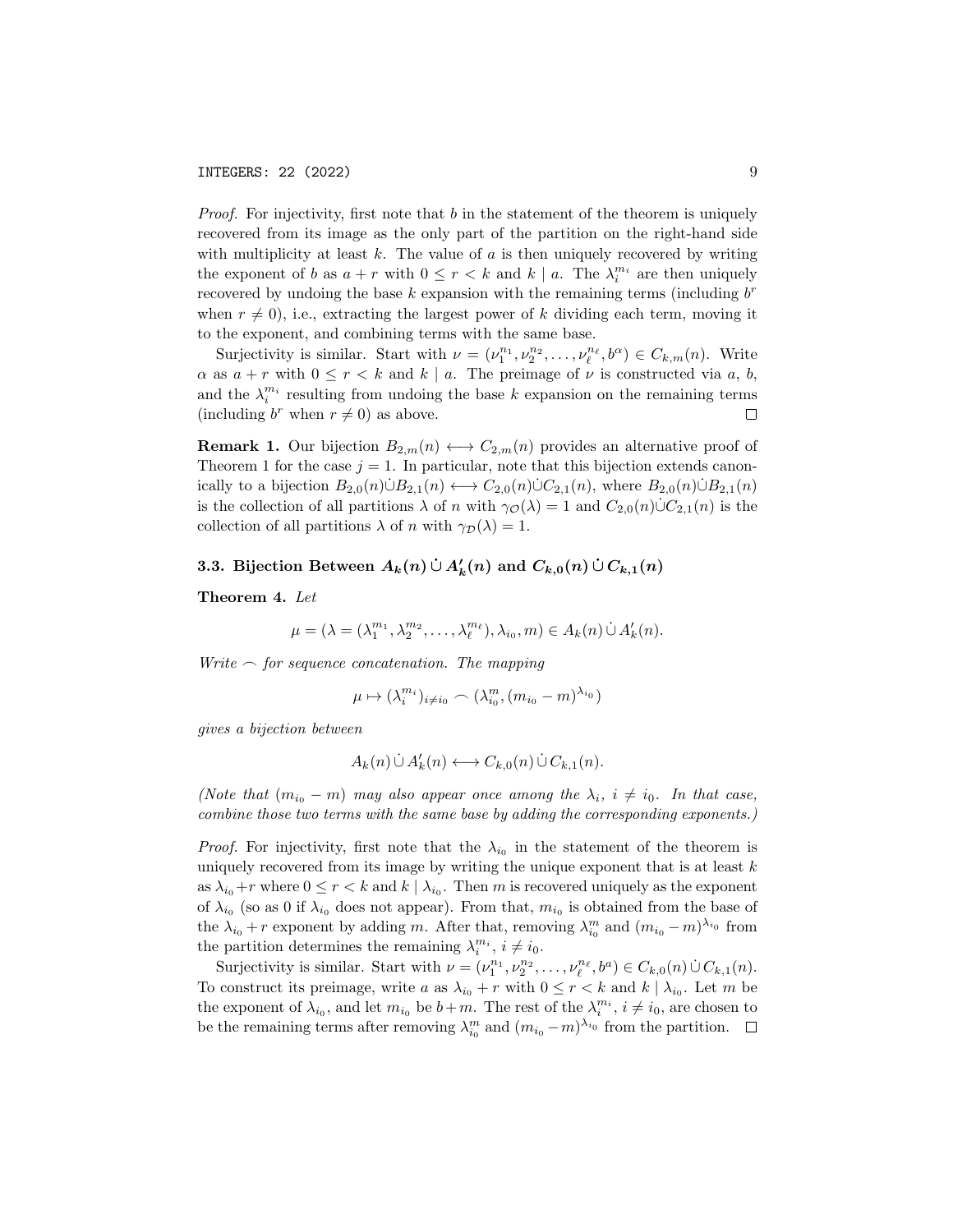Proof. For injectivity, first note that b in the statement of the theorem is uniquely recovered from its image as the only part of the partition on the right-hand side with multiplicity at least  $k$ . The value of  $a$  is then uniquely recovered by writing the exponent of b as  $a + r$  with  $0 \le r < k$  and  $k | a$ . The  $\lambda_i^{m_i}$  are then uniquely recovered by undoing the base  $k$  expansion with the remaining terms (including  $b^r$ when  $r \neq 0$ , i.e., extracting the largest power of k dividing each term, moving it to the exponent, and combining terms with the same base.

Surjectivity is similar. Start with  $\nu = (\nu_1^{n_1}, \nu_2^{n_2}, \dots, \nu_\ell^{n_\ell}, b^\alpha) \in C_{k,m}(n)$ . Write  $\alpha$  as  $a + r$  with  $0 \le r < k$  and  $k | a$ . The preimage of  $\nu$  is constructed via a, b, and the  $\lambda_i^{m_i}$  resulting from undoing the base k expansion on the remaining terms (including  $b^r$  when  $r \neq 0$ ) as above.  $\Box$ 

**Remark 1.** Our bijection  $B_{2,m}(n) \longleftrightarrow C_{2,m}(n)$  provides an alternative proof of Theorem 1 for the case  $j = 1$ . In particular, note that this bijection extends canonically to a bijection  $B_{2,0}(n) \cup B_{2,1}(n) \longleftrightarrow C_{2,0}(n) \cup C_{2,1}(n)$ , where  $B_{2,0}(n) \cup B_{2,1}(n)$ is the collection of all partitions  $\lambda$  of n with  $\gamma_{\mathcal{O}}(\lambda) = 1$  and  $C_{2,0}(n) \cup C_{2,1}(n)$  is the collection of all partitions  $\lambda$  of n with  $\gamma_{\mathcal{D}}(\lambda) = 1$ .

# 3.3. Bijection Between  $A_k(n) \cup A'_k(n)$  and  $C_{k,0}(n) \cup C_{k,1}(n)$

Theorem 4. Let

$$
\mu = (\lambda = (\lambda_1^{m_1}, \lambda_2^{m_2}, \dots, \lambda_\ell^{m_\ell}), \lambda_{i_0}, m) \in A_k(n) \dot{\cup} A'_k(n).
$$

Write  $\frown$  for sequence concatenation. The mapping

$$
\mu \mapsto (\lambda_i^{m_i})_{i \neq i_0} \frown (\lambda_{i_0}^m, (m_{i_0} - m)^{\lambda_{i_0}})
$$

gives a bijection between

$$
A_k(n) \cup A'_k(n) \longleftrightarrow C_{k,0}(n) \cup C_{k,1}(n).
$$

(Note that  $(m_{i_0} - m)$  may also appear once among the  $\lambda_i$ ,  $i \neq i_0$ . In that case, combine those two terms with the same base by adding the corresponding exponents.)

*Proof.* For injectivity, first note that the  $\lambda_{i_0}$  in the statement of the theorem is uniquely recovered from its image by writing the unique exponent that is at least  $k$ as  $\lambda_{i_0}+r$  where  $0 \le r < k$  and  $k \mid \lambda_{i_0}$ . Then m is recovered uniquely as the exponent of  $\lambda_{i_0}$  (so as 0 if  $\lambda_{i_0}$  does not appear). From that,  $m_{i_0}$  is obtained from the base of the  $\lambda_{i_0} + r$  exponent by adding m. After that, removing  $\lambda_{i_0}^m$  and  $(m_{i_0} - m)^{\lambda_{i_0}}$  from the partition determines the remaining  $\lambda_i^{m_i}$ ,  $i \neq i_0$ .

Surjectivity is similar. Start with  $\nu = (\nu_1^{n_1}, \nu_2^{n_2}, \dots, \nu_\ell^{n_\ell}, b^a) \in C_{k,0}(n) \cup C_{k,1}(n)$ . To construct its preimage, write a as  $\lambda_{i_0} + r$  with  $0 \le r < k$  and  $k \mid \lambda_{i_0}$ . Let m be the exponent of  $\lambda_{i_0}$ , and let  $m_{i_0}$  be  $b+m$ . The rest of the  $\lambda_i^{m_i}$ ,  $i \neq i_0$ , are chosen to be the remaining terms after removing  $\lambda_{i_0}^m$  and  $(m_{i_0}-m)^{\lambda_{i_0}}$  from the partition.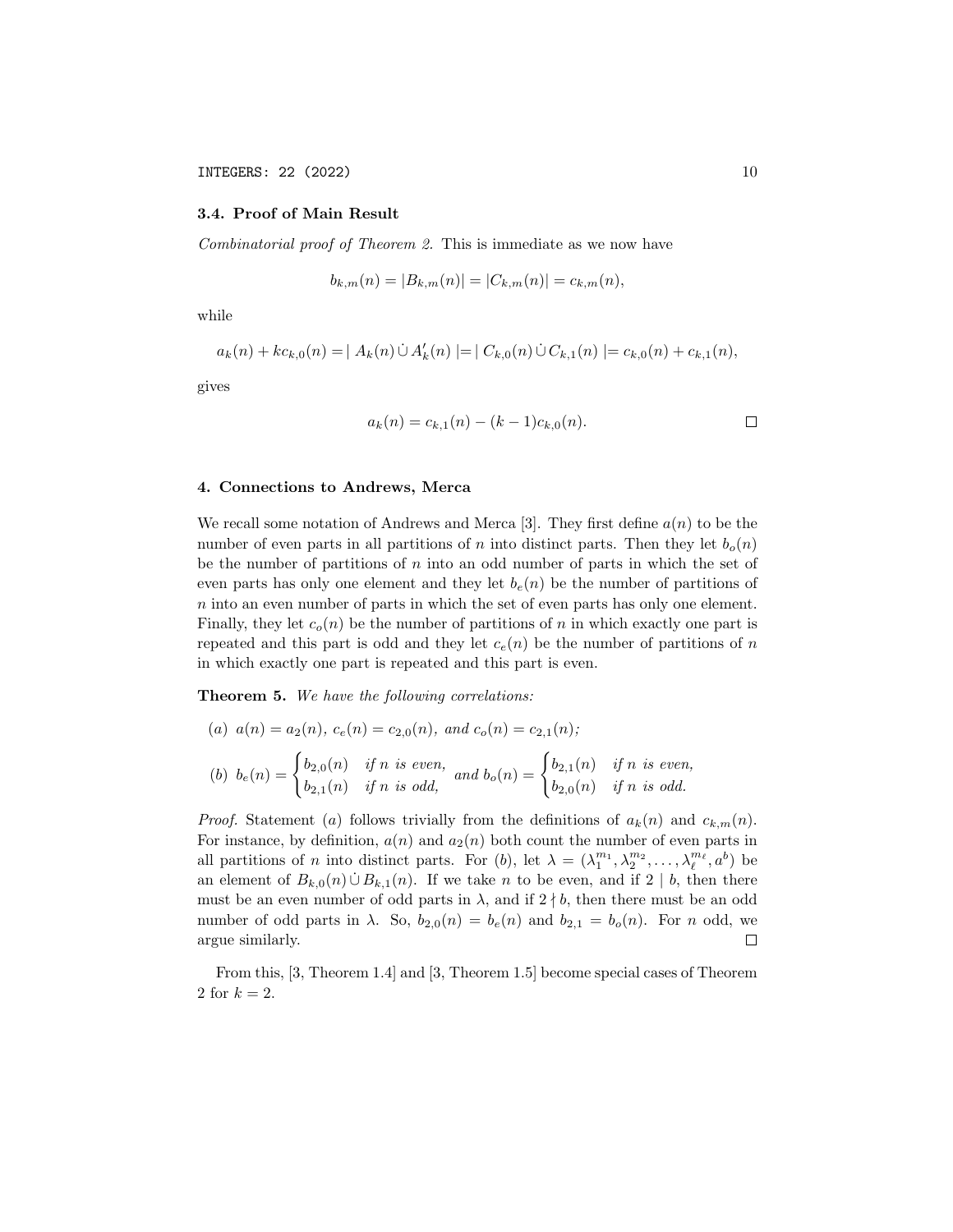## 3.4. Proof of Main Result

Combinatorial proof of Theorem 2. This is immediate as we now have

$$
b_{k,m}(n) = |B_{k,m}(n)| = |C_{k,m}(n)| = c_{k,m}(n),
$$

while

$$
a_k(n) + k c_{k,0}(n) = | A_k(n) \cup A'_k(n) | = | C_{k,0}(n) \cup C_{k,1}(n) | = c_{k,0}(n) + c_{k,1}(n),
$$

gives

$$
a_k(n) = c_{k,1}(n) - (k-1)c_{k,0}(n).
$$

### 4. Connections to Andrews, Merca

We recall some notation of Andrews and Merca [3]. They first define  $a(n)$  to be the number of even parts in all partitions of n into distinct parts. Then they let  $b_o(n)$ be the number of partitions of  $n$  into an odd number of parts in which the set of even parts has only one element and they let  $b_e(n)$  be the number of partitions of n into an even number of parts in which the set of even parts has only one element. Finally, they let  $c<sub>o</sub>(n)$  be the number of partitions of n in which exactly one part is repeated and this part is odd and they let  $c<sub>e</sub>(n)$  be the number of partitions of n in which exactly one part is repeated and this part is even.

**Theorem 5.** We have the following correlations:

(a) 
$$
a(n) = a_2(n), c_e(n) = c_{2,0}(n), and c_o(n) = c_{2,1}(n);
$$
  
\n(b)  $b_e(n) = \begin{cases} b_{2,0}(n) & \text{if } n \text{ is even,} \\ b_{2,1}(n) & \text{if } n \text{ is odd,} \end{cases}$  and  $b_o(n) = \begin{cases} b_{2,1}(n) & \text{if } n \text{ is even,} \\ b_{2,0}(n) & \text{if } n \text{ is odd.} \end{cases}$ 

*Proof.* Statement (a) follows trivially from the definitions of  $a_k(n)$  and  $c_{k,m}(n)$ . For instance, by definition,  $a(n)$  and  $a_2(n)$  both count the number of even parts in all partitions of *n* into distinct parts. For (b), let  $\lambda = (\lambda_1^{m_1}, \lambda_2^{m_2}, \dots, \lambda_\ell^{m_\ell}, a^b)$  be an element of  $B_{k,0}(n) \cup B_{k,1}(n)$ . If we take n to be even, and if 2 | b, then there must be an even number of odd parts in  $\lambda$ , and if  $2 \nmid b$ , then there must be an odd number of odd parts in  $\lambda$ . So,  $b_{2,0}(n) = b_e(n)$  and  $b_{2,1} = b_o(n)$ . For n odd, we argue similarly.  $\Box$ 

From this, [3, Theorem 1.4] and [3, Theorem 1.5] become special cases of Theorem 2 for  $k = 2$ .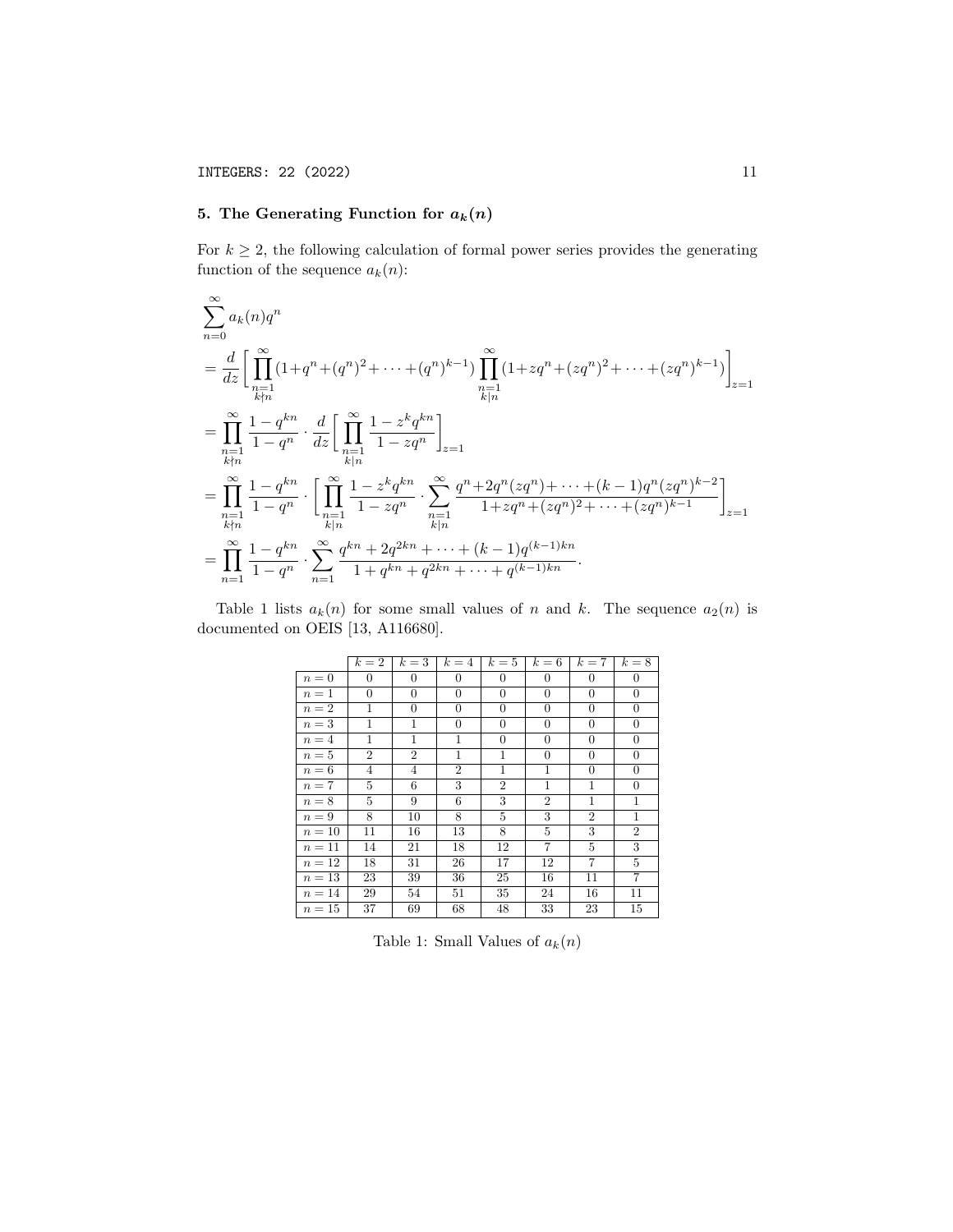# 5. The Generating Function for  $a_k(n)$

For  $k \geq 2$ , the following calculation of formal power series provides the generating function of the sequence  $a_k(n)$ :

$$
\sum_{n=0}^{\infty} a_k(n) q^n
$$
\n
$$
= \frac{d}{dz} \Bigg[ \prod_{\substack{n=1 \ k \nmid n}}^{\infty} (1 + q^n + (q^n)^2 + \dots + (q^n)^{k-1}) \prod_{\substack{n=1 \ k \nmid n}}^{\infty} (1 + z q^n + (z q^n)^2 + \dots + (z q^n)^{k-1}) \Bigg]_{z=1}
$$
\n
$$
= \prod_{\substack{n=1 \ k \nmid n}}^{\infty} \frac{1 - q^{kn}}{1 - q^n} \cdot \frac{d}{dz} \Bigg[ \prod_{\substack{n=1 \ k \nmid n}}^{\infty} \frac{1 - z^k q^{kn}}{1 - z q^n} \Bigg]_{z=1}
$$
\n
$$
= \prod_{\substack{n=1 \ k \nmid n}}^{\infty} \frac{1 - q^{kn}}{1 - q^n} \cdot \Bigg[ \prod_{\substack{n=1 \ k \nmid n}}^{\infty} \frac{1 - z^k q^{kn}}{1 - z q^n} \cdot \sum_{\substack{n=1 \ k \nmid n}}^{\infty} \frac{q^n + 2q^n (z q^n) + \dots + (k-1) q^n (z q^n)^{k-2}}{1 + z q^n + (z q^n)^2 + \dots + (z q^n)^{k-1}} \Bigg]_{z=1}
$$
\n
$$
= \prod_{n=1}^{\infty} \frac{1 - q^{kn}}{1 - q^n} \cdot \sum_{n=1}^{\infty} \frac{q^{kn} + 2q^{2kn} + \dots + (k-1) q^{(k-1)kn}}{1 + q^{kn} + q^{2kn} + \dots + q^{(k-1)kn}}.
$$

Table 1 lists  $a_k(n)$  for some small values of n and k. The sequence  $a_2(n)$  is documented on OEIS [13, A116680].

|        | $k=2$          | $k=3$            | $k=4$            | $k=5$          | $k=6$            | $k=7$            | $k=8$            |
|--------|----------------|------------------|------------------|----------------|------------------|------------------|------------------|
| $n=0$  | $\theta$       | $\theta$         | $\theta$         | $\theta$       | $\theta$         | $\theta$         | $\mathbf{0}$     |
| $n=1$  | $\theta$       | $\boldsymbol{0}$ | $\boldsymbol{0}$ | $\theta$       | $\boldsymbol{0}$ | $\boldsymbol{0}$ | $\boldsymbol{0}$ |
| $n=2$  | 1              | $\overline{0}$   | $\theta$         | $\theta$       | $\mathbf{0}$     | $\theta$         | $\boldsymbol{0}$ |
| $n=3$  | 1              | 1                | $\overline{0}$   | $\theta$       | $\boldsymbol{0}$ | $\theta$         | $\boldsymbol{0}$ |
| $n=4$  | 1              | $\mathbf{1}$     | $\mathbf{1}$     | $\theta$       | $\theta$         | $\theta$         | $\boldsymbol{0}$ |
| $n=5$  | $\overline{2}$ | $\overline{2}$   | $\mathbf{1}$     | 1              | $\theta$         | $\theta$         | $\boldsymbol{0}$ |
| $n=6$  | $\overline{4}$ | $\overline{4}$   | $\overline{2}$   | $\mathbf{1}$   | $\mathbf{1}$     | $\boldsymbol{0}$ | $\theta$         |
| $n=7$  | 5              | 6                | 3                | $\overline{2}$ | $\mathbf{1}$     | $\mathbf{1}$     | $\theta$         |
| $n=8$  | 5              | 9                | 6                | 3              | $\overline{2}$   | 1                | $\mathbf{1}$     |
| $n=9$  | 8              | 10               | 8                | 5              | 3                | $\overline{2}$   | $\mathbf{1}$     |
| $n=10$ | 11             | 16               | 13               | 8              | $\overline{5}$   | 3                | $\overline{2}$   |
| $n=11$ | 14             | 21               | 18               | 12             | $\overline{7}$   | 5                | 3                |
| $n=12$ | 18             | 31               | 26               | 17             | 12               | $\overline{7}$   | $\overline{5}$   |
| $n=13$ | 23             | 39               | 36               | 25             | 16               | 11               | 7                |
| $n=14$ | 29             | 54               | 51               | 35             | 24               | 16               | 11               |
| $n=15$ | 37             | 69               | 68               | 48             | 33               | 23               | 15               |

Table 1: Small Values of  $a_k(n)$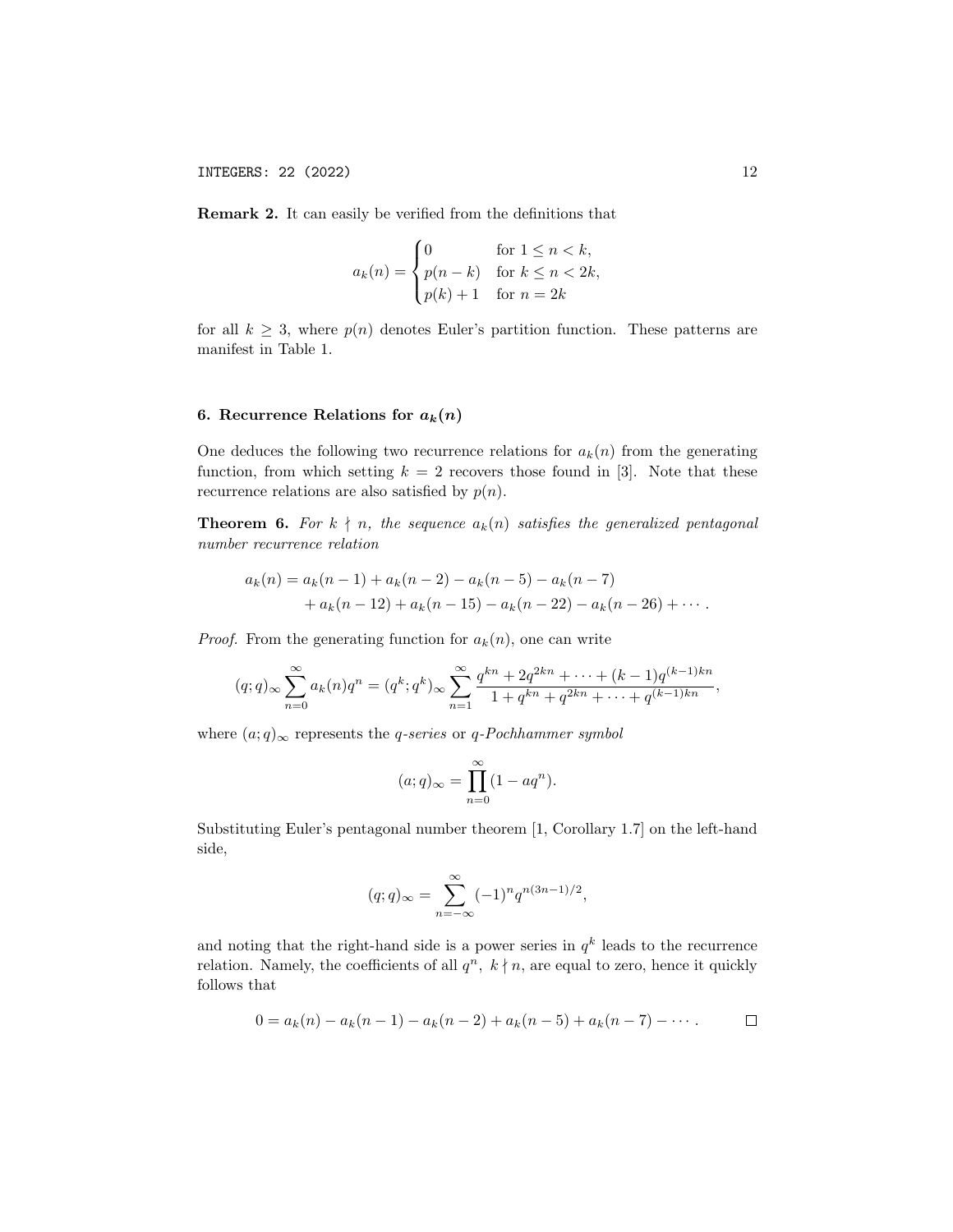Remark 2. It can easily be verified from the definitions that

$$
a_k(n) = \begin{cases} 0 & \text{for } 1 \le n < k, \\ p(n-k) & \text{for } k \le n < 2k, \\ p(k) + 1 & \text{for } n = 2k \end{cases}
$$

for all  $k \geq 3$ , where  $p(n)$  denotes Euler's partition function. These patterns are manifest in Table 1.

## 6. Recurrence Relations for  $a_k(n)$

One deduces the following two recurrence relations for  $a_k(n)$  from the generating function, from which setting  $k = 2$  recovers those found in [3]. Note that these recurrence relations are also satisfied by  $p(n)$ .

**Theorem 6.** For  $k \nmid n$ , the sequence  $a_k(n)$  satisfies the generalized pentagonal number recurrence relation

$$
a_k(n) = a_k(n-1) + a_k(n-2) - a_k(n-5) - a_k(n-7)
$$
  
+ 
$$
a_k(n-12) + a_k(n-15) - a_k(n-22) - a_k(n-26) + \cdots
$$

*Proof.* From the generating function for  $a_k(n)$ , one can write

$$
(q;q)_{\infty} \sum_{n=0}^{\infty} a_k(n)q^n = (q^k; q^k)_{\infty} \sum_{n=1}^{\infty} \frac{q^{kn} + 2q^{2kn} + \dots + (k-1)q^{(k-1)kn}}{1 + q^{kn} + q^{2kn} + \dots + q^{(k-1)kn}},
$$

where  $(a;q)_{\infty}$  represents the *q-series* or *q-Pochhammer symbol* 

$$
(a;q)_{\infty} = \prod_{n=0}^{\infty} (1 - aq^n).
$$

Substituting Euler's pentagonal number theorem [1, Corollary 1.7] on the left-hand side,

$$
(q;q)_{\infty} = \sum_{n=-\infty}^{\infty} (-1)^n q^{n(3n-1)/2},
$$

and noting that the right-hand side is a power series in  $q^k$  leads to the recurrence relation. Namely, the coefficients of all  $q^n$ ,  $k \nmid n$ , are equal to zero, hence it quickly follows that

$$
0 = a_k(n) - a_k(n-1) - a_k(n-2) + a_k(n-5) + a_k(n-7) - \cdots \quad \Box
$$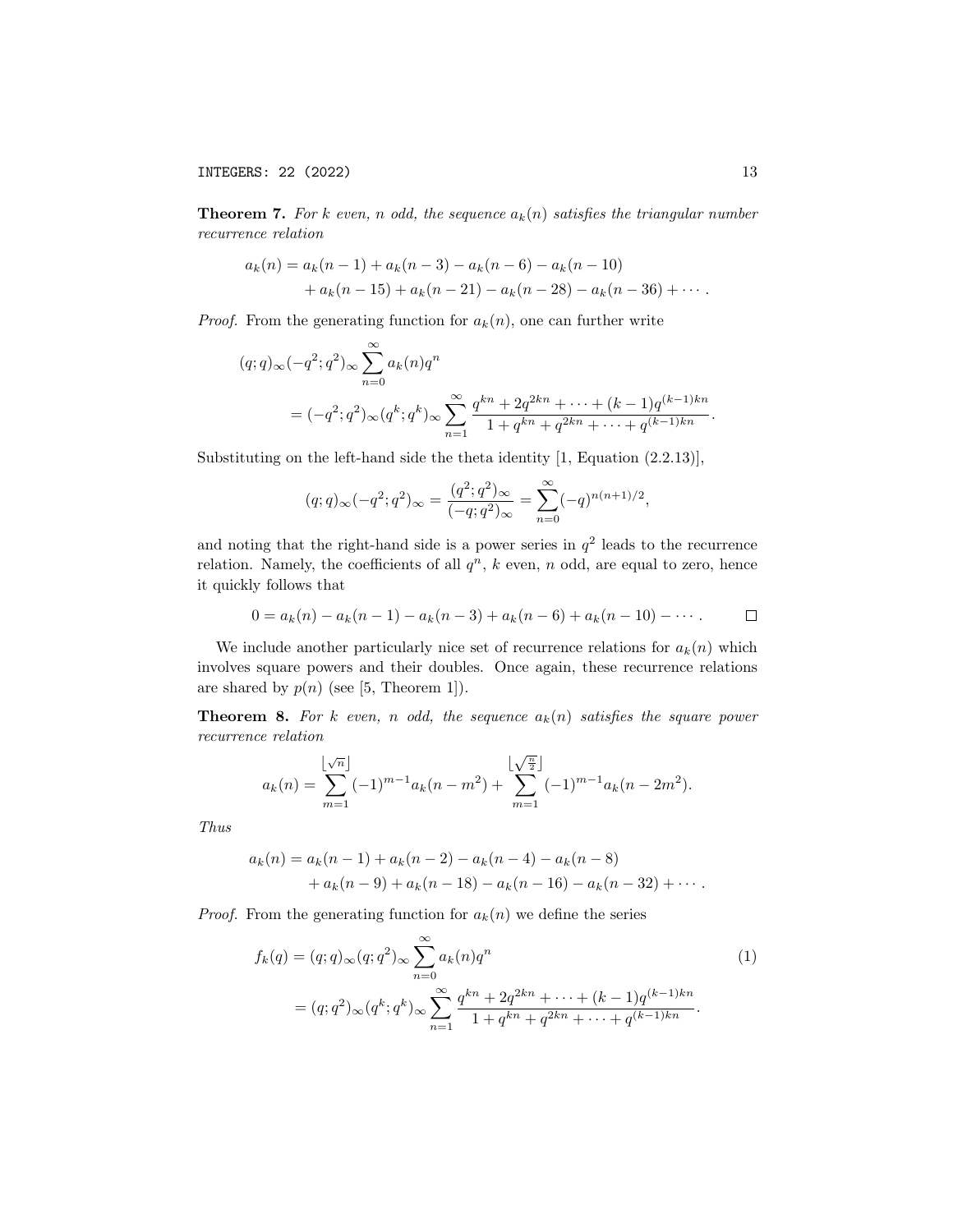**Theorem 7.** For k even, n odd, the sequence  $a_k(n)$  satisfies the triangular number recurrence relation

$$
a_k(n) = a_k(n-1) + a_k(n-3) - a_k(n-6) - a_k(n-10)
$$
  
+ 
$$
a_k(n-15) + a_k(n-21) - a_k(n-28) - a_k(n-36) + \cdots
$$

*Proof.* From the generating function for  $a_k(n)$ , one can further write

$$
(q;q)_{\infty}(-q^2;q^2)_{\infty} \sum_{n=0}^{\infty} a_k(n)q^n
$$
  
=  $(-q^2;q^2)_{\infty} (q^k;q^k)_{\infty} \sum_{n=1}^{\infty} \frac{q^{kn} + 2q^{2kn} + \dots + (k-1)q^{(k-1)kn}}{1 + q^{kn} + q^{2kn} + \dots + q^{(k-1)kn}}.$ 

Substituting on the left-hand side the theta identity [1, Equation (2.2.13)],

$$
(q;q)_{\infty}(-q^2;q^2)_{\infty} = \frac{(q^2;q^2)_{\infty}}{(-q;q^2)_{\infty}} = \sum_{n=0}^{\infty} (-q)^{n(n+1)/2},
$$

and noting that the right-hand side is a power series in  $q^2$  leads to the recurrence relation. Namely, the coefficients of all  $q^n$ , k even, n odd, are equal to zero, hence it quickly follows that

$$
0 = a_k(n) - a_k(n-1) - a_k(n-3) + a_k(n-6) + a_k(n-10) - \cdots
$$

We include another particularly nice set of recurrence relations for  $a_k(n)$  which involves square powers and their doubles. Once again, these recurrence relations are shared by  $p(n)$  (see [5, Theorem 1]).

**Theorem 8.** For k even, n odd, the sequence  $a_k(n)$  satisfies the square power recurrence relation

$$
a_k(n) = \sum_{m=1}^{\lfloor \sqrt{n} \rfloor} (-1)^{m-1} a_k(n-m^2) + \sum_{m=1}^{\lfloor \sqrt{\frac{n}{2}} \rfloor} (-1)^{m-1} a_k(n-2m^2).
$$

Thus

$$
a_k(n) = a_k(n-1) + a_k(n-2) - a_k(n-4) - a_k(n-8)
$$
  
+ 
$$
a_k(n-9) + a_k(n-18) - a_k(n-16) - a_k(n-32) + \cdots
$$

*Proof.* From the generating function for  $a_k(n)$  we define the series

$$
f_k(q) = (q;q)_{\infty}(q;q^2)_{\infty} \sum_{n=0}^{\infty} a_k(n)q^n
$$
  
=  $(q;q^2)_{\infty}(q^k;q^k)_{\infty} \sum_{n=1}^{\infty} \frac{q^{kn} + 2q^{2kn} + \dots + (k-1)q^{(k-1)kn}}{1 + q^{kn} + q^{2kn} + \dots + q^{(k-1)kn}}.$  (1)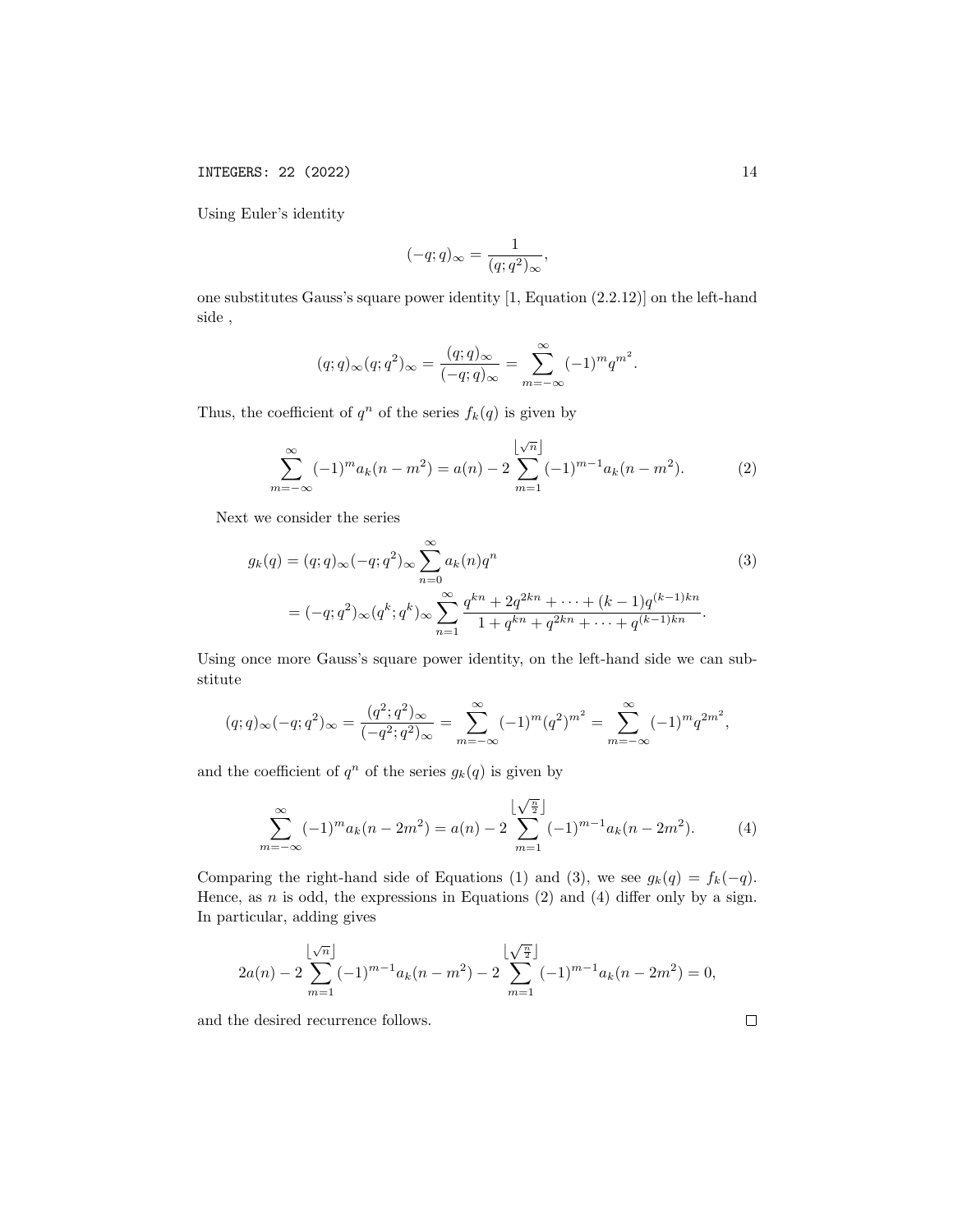INTEGERS: 22 (2022) 14

Using Euler's identity

$$
(-q;q)_{\infty} = \frac{1}{(q;q^2)_{\infty}},
$$

one substitutes Gauss's square power identity [1, Equation (2.2.12)] on the left-hand side ,

$$
(q;q)_{\infty}(q;q^2)_{\infty} = \frac{(q;q)_{\infty}}{(-q;q)_{\infty}} = \sum_{m=-\infty}^{\infty} (-1)^m q^{m^2}.
$$

Thus, the coefficient of  $q^n$  of the series  $f_k(q)$  is given by

$$
\sum_{m=-\infty}^{\infty} (-1)^m a_k (n - m^2) = a(n) - 2 \sum_{m=1}^{\lfloor \sqrt{n} \rfloor} (-1)^{m-1} a_k (n - m^2).
$$
 (2)

Next we consider the series

$$
g_k(q) = (q;q)_{\infty}(-q;q^2)_{\infty} \sum_{n=0}^{\infty} a_k(n)q^n
$$
  
=  $(-q;q^2)_{\infty} (q^k;q^k)_{\infty} \sum_{n=1}^{\infty} \frac{q^{kn} + 2q^{2kn} + \dots + (k-1)q^{(k-1)kn}}{1 + q^{kn} + q^{2kn} + \dots + q^{(k-1)kn}}.$  (3)

Using once more Gauss's square power identity, on the left-hand side we can substitute

$$
(q;q)_{\infty}(-q;q^2)_{\infty} = \frac{(q^2;q^2)_{\infty}}{(-q^2;q^2)_{\infty}} = \sum_{m=-\infty}^{\infty} (-1)^m (q^2)^{m^2} = \sum_{m=-\infty}^{\infty} (-1)^m q^{2m^2},
$$

and the coefficient of  $q^n$  of the series  $g_k(q)$  is given by

$$
\sum_{m=-\infty}^{\infty} (-1)^m a_k (n - 2m^2) = a(n) - 2 \sum_{m=1}^{\lfloor \sqrt{\frac{n}{2}} \rfloor} (-1)^{m-1} a_k (n - 2m^2).
$$
 (4)

Comparing the right-hand side of Equations (1) and (3), we see  $g_k(q) = f_k(-q)$ . Hence, as  $n$  is odd, the expressions in Equations (2) and (4) differ only by a sign. In particular, adding gives

$$
2a(n) - 2\sum_{m=1}^{\lfloor \sqrt{n} \rfloor} (-1)^{m-1} a_k(n-m^2) - 2\sum_{m=1}^{\lfloor \sqrt{\frac{n}{2}} \rfloor} (-1)^{m-1} a_k(n-2m^2) = 0,
$$

and the desired recurrence follows.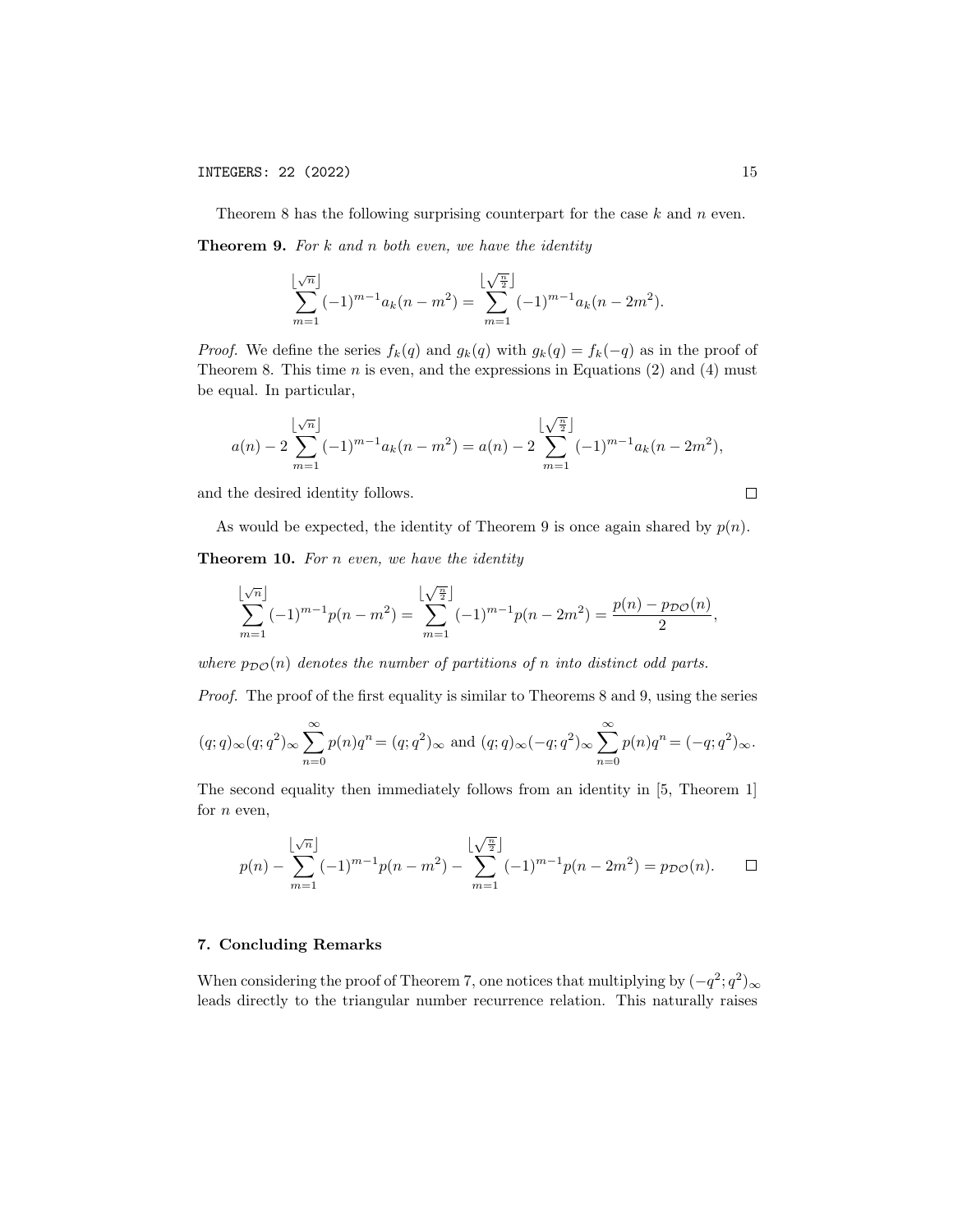Theorem 8 has the following surprising counterpart for the case  $k$  and  $n$  even.

**Theorem 9.** For  $k$  and  $n$  both even, we have the identity

$$
\sum_{m=1}^{\lfloor \sqrt{n} \rfloor} (-1)^{m-1} a_k (n - m^2) = \sum_{m=1}^{\lfloor \sqrt{\frac{n}{2}} \rfloor} (-1)^{m-1} a_k (n - 2m^2).
$$

*Proof.* We define the series  $f_k(q)$  and  $g_k(q)$  with  $g_k(q) = f_k(-q)$  as in the proof of Theorem 8. This time  $n$  is even, and the expressions in Equations (2) and (4) must be equal. In particular,

$$
a(n) - 2\sum_{m=1}^{\lfloor \sqrt{n} \rfloor} (-1)^{m-1} a_k(n-m^2) = a(n) - 2\sum_{m=1}^{\lfloor \sqrt{\frac{n}{2}} \rfloor} (-1)^{m-1} a_k(n-2m^2),
$$

and the desired identity follows.

$$
\qquad \qquad \Box
$$

,

As would be expected, the identity of Theorem 9 is once again shared by  $p(n)$ .

Theorem 10. For n even, we have the identity

$$
\sum_{m=1}^{\lfloor \sqrt{n} \rfloor} (-1)^{m-1} p(n-m^2) = \sum_{m=1}^{\lfloor \sqrt{\frac{n}{2}} \rfloor} (-1)^{m-1} p(n-2m^2) = \frac{p(n) - p_{\mathcal{DO}}(n)}{2}
$$

where  $p_{\mathcal{D}\mathcal{O}}(n)$  denotes the number of partitions of n into distinct odd parts.

Proof. The proof of the first equality is similar to Theorems 8 and 9, using the series

$$
(q;q)_{\infty}(q;q^2)_{\infty}\sum_{n=0}^{\infty}p(n)q^n=(q;q^2)_{\infty} \text{ and } (q;q)_{\infty}(-q;q^2)_{\infty}\sum_{n=0}^{\infty}p(n)q^n=(-q;q^2)_{\infty}.
$$

The second equality then immediately follows from an identity in [5, Theorem 1] for  $n$  even,

$$
p(n) - \sum_{m=1}^{\lfloor \sqrt{n} \rfloor} (-1)^{m-1} p(n-m^2) - \sum_{m=1}^{\lfloor \sqrt{\frac{n}{2}} \rfloor} (-1)^{m-1} p(n-2m^2) = p_{\mathcal{DO}}(n). \square
$$

### 7. Concluding Remarks

When considering the proof of Theorem 7, one notices that multiplying by  $(-q^2; q^2)_{\infty}$ leads directly to the triangular number recurrence relation. This naturally raises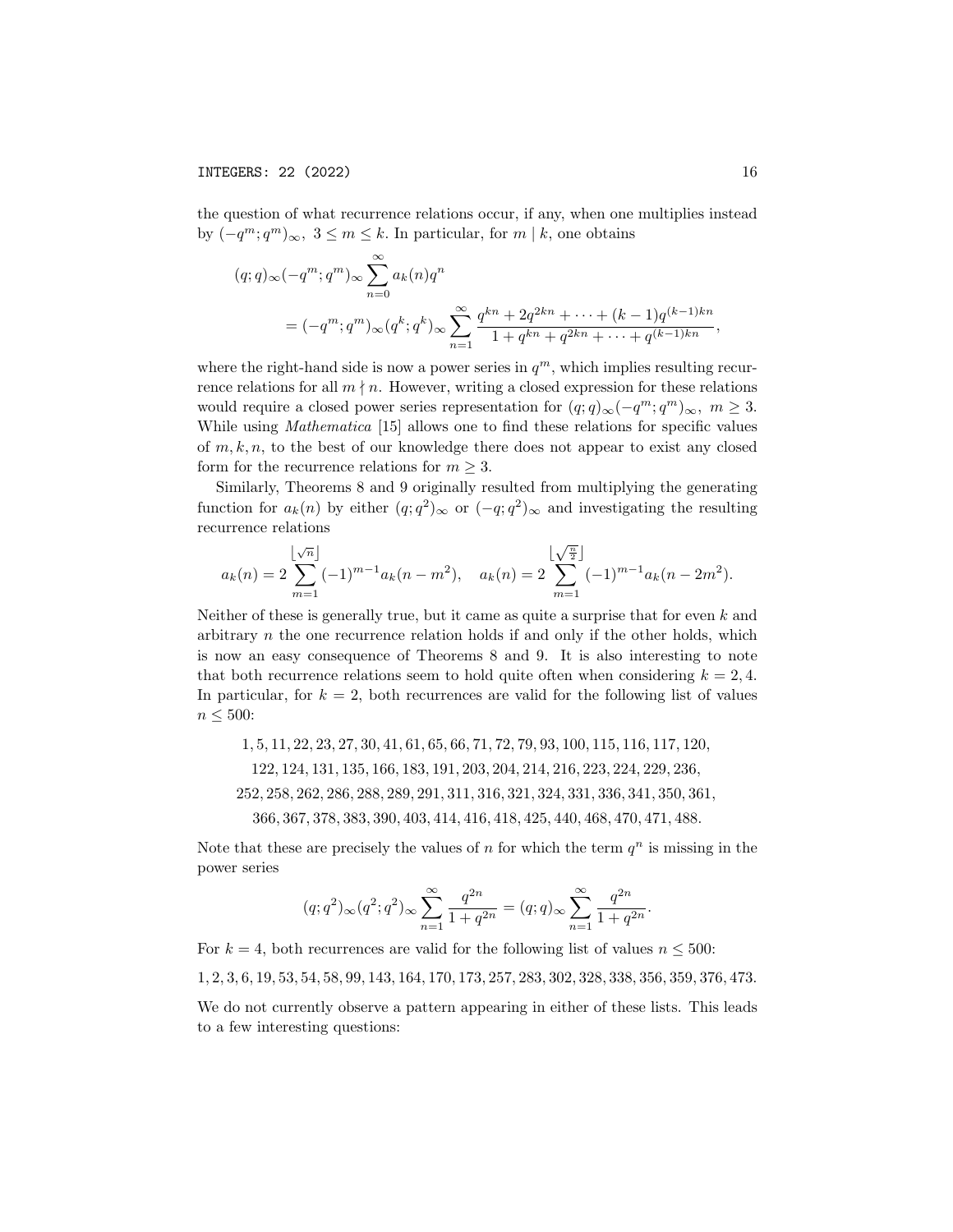the question of what recurrence relations occur, if any, when one multiplies instead by  $(-q^m; q^m)_{\infty}$ ,  $3 \leq m \leq k$ . In particular, for  $m \mid k$ , one obtains

$$
(q;q)_{\infty}(-q^m;q^m)_{\infty} \sum_{n=0}^{\infty} a_k(n)q^n
$$
  
=  $(-q^m;q^m)_{\infty}(q^k;q^k)_{\infty} \sum_{n=1}^{\infty} \frac{q^{kn} + 2q^{2kn} + \dots + (k-1)q^{(k-1)kn}}{1 + q^{kn} + q^{2kn} + \dots + q^{(k-1)kn}},$ 

where the right-hand side is now a power series in  $q^m$ , which implies resulting recurrence relations for all  $m \nmid n$ . However, writing a closed expression for these relations would require a closed power series representation for  $(q;q)_{\infty}(-q^m;q^m)_{\infty}, m \geq 3$ . While using Mathematica [15] allows one to find these relations for specific values of  $m, k, n$ , to the best of our knowledge there does not appear to exist any closed form for the recurrence relations for  $m \geq 3$ .

Similarly, Theorems 8 and 9 originally resulted from multiplying the generating function for  $a_k(n)$  by either  $(q; q^2)_{\infty}$  or  $(-q; q^2)_{\infty}$  and investigating the resulting recurrence relations

$$
a_k(n) = 2\sum_{m=1}^{\lfloor \sqrt{n} \rfloor} (-1)^{m-1} a_k(n-m^2), \quad a_k(n) = 2\sum_{m=1}^{\lfloor \sqrt{\frac{n}{2}} \rfloor} (-1)^{m-1} a_k(n-2m^2).
$$

Neither of these is generally true, but it came as quite a surprise that for even  $k$  and arbitrary  $n$  the one recurrence relation holds if and only if the other holds, which is now an easy consequence of Theorems 8 and 9. It is also interesting to note that both recurrence relations seem to hold quite often when considering  $k = 2, 4$ . In particular, for  $k = 2$ , both recurrences are valid for the following list of values  $n \leq 500$ :

1, 5, 11, 22, 23, 27, 30, 41, 61, 65, 66, 71, 72, 79, 93, 100, 115, 116, 117, 120,

122, 124, 131, 135, 166, 183, 191, 203, 204, 214, 216, 223, 224, 229, 236,

252, 258, 262, 286, 288, 289, 291, 311, 316, 321, 324, 331, 336, 341, 350, 361,

366, 367, 378, 383, 390, 403, 414, 416, 418, 425, 440, 468, 470, 471, 488.

Note that these are precisely the values of n for which the term  $q^n$  is missing in the power series

$$
(q;q^2)_{\infty}(q^2;q^2)_{\infty}\sum_{n=1}^{\infty}\frac{q^{2n}}{1+q^{2n}}=(q;q)_{\infty}\sum_{n=1}^{\infty}\frac{q^{2n}}{1+q^{2n}}.
$$

For  $k = 4$ , both recurrences are valid for the following list of values  $n \leq 500$ :

1, 2, 3, 6, 19, 53, 54, 58, 99, 143, 164, 170, 173, 257, 283, 302, 328, 338, 356, 359, 376, 473.

We do not currently observe a pattern appearing in either of these lists. This leads to a few interesting questions: